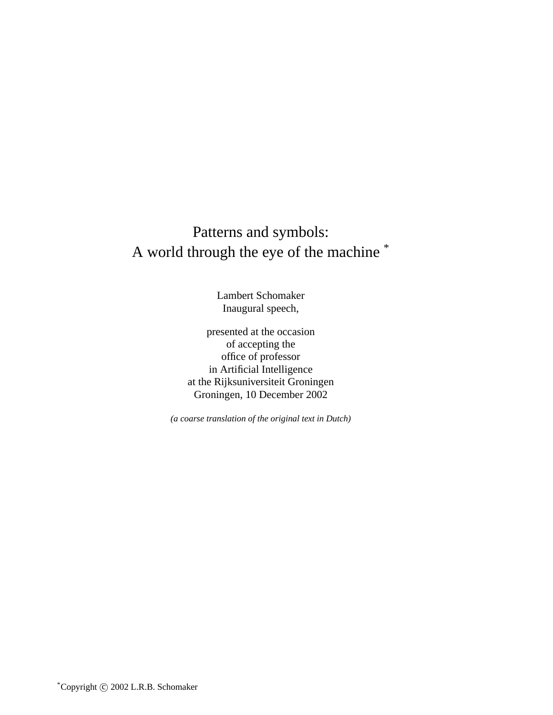# Patterns and symbols: A world through the eye of the machine \*

Lambert Schomaker Inaugural speech,

presented at the occasion of accepting the office of professor in Artificial Intelligence at the Rijksuniversiteit Groningen Groningen, 10 December 2002

*(a coarse translation of the original text in Dutch)*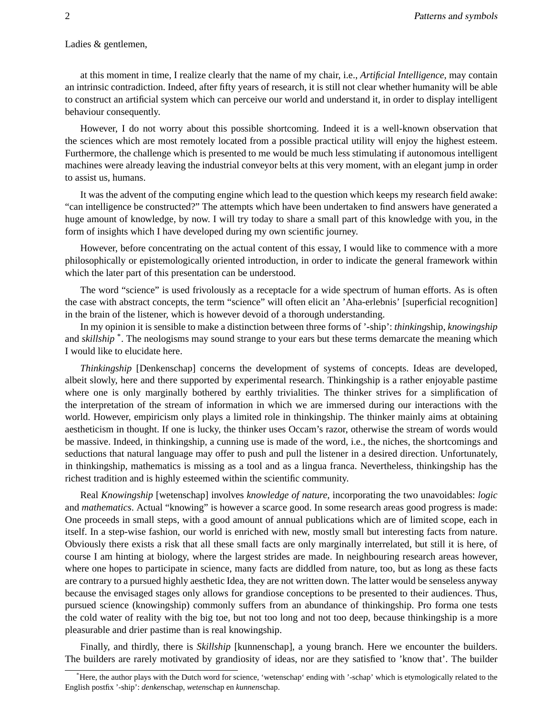#### Ladies & gentlemen,

at this moment in time, I realize clearly that the name of my chair, i.e., *Artificial Intelligence*, may contain an intrinsic contradiction. Indeed, after fifty years of research, it is still not clear whether humanity will be able to construct an artificial system which can perceive our world and understand it, in order to display intelligent behaviour consequently.

However, I do not worry about this possible shortcoming. Indeed it is a well-known observation that the sciences which are most remotely located from a possible practical utility will enjoy the highest esteem. Furthermore, the challenge which is presented to me would be much less stimulating if autonomous intelligent machines were already leaving the industrial conveyor belts at this very moment, with an elegant jump in order to assist us, humans.

It was the advent of the computing engine which lead to the question which keeps my research field awake: "can intelligence be constructed?" The attempts which have been undertaken to find answers have generated a huge amount of knowledge, by now. I will try today to share a small part of this knowledge with you, in the form of insights which I have developed during my own scientific journey.

However, before concentrating on the actual content of this essay, I would like to commence with a more philosophically or epistemologically oriented introduction, in order to indicate the general framework within which the later part of this presentation can be understood.

The word "science" is used frivolously as a receptacle for a wide spectrum of human efforts. As is often the case with abstract concepts, the term "science" will often elicit an 'Aha-erlebnis' [superficial recognition] in the brain of the listener, which is however devoid of a thorough understanding.

In my opinion it is sensible to make a distinction between three forms of '-ship': *thinking*ship, *knowingship* and *skillship* \* . The neologisms may sound strange to your ears but these terms demarcate the meaning which I would like to elucidate here.

*Thinkingship* [Denkenschap] concerns the development of systems of concepts. Ideas are developed, albeit slowly, here and there supported by experimental research. Thinkingship is a rather enjoyable pastime where one is only marginally bothered by earthly trivialities. The thinker strives for a simplification of the interpretation of the stream of information in which we are immersed during our interactions with the world. However, empiricism only plays a limited role in thinkingship. The thinker mainly aims at obtaining aestheticism in thought. If one is lucky, the thinker uses Occam's razor, otherwise the stream of words would be massive. Indeed, in thinkingship, a cunning use is made of the word, i.e., the niches, the shortcomings and seductions that natural language may offer to push and pull the listener in a desired direction. Unfortunately, in thinkingship, mathematics is missing as a tool and as a lingua franca. Nevertheless, thinkingship has the richest tradition and is highly esteemed within the scientific community.

Real *Knowingship* [wetenschap] involves *knowledge of nature*, incorporating the two unavoidables: *logic* and *mathematics*. Actual "knowing" is however a scarce good. In some research areas good progress is made: One proceeds in small steps, with a good amount of annual publications which are of limited scope, each in itself. In a step-wise fashion, our world is enriched with new, mostly small but interesting facts from nature. Obviously there exists a risk that all these small facts are only marginally interrelated, but still it is here, of course I am hinting at biology, where the largest strides are made. In neighbouring research areas however, where one hopes to participate in science, many facts are diddled from nature, too, but as long as these facts are contrary to a pursued highly aesthetic Idea, they are not written down. The latter would be senseless anyway because the envisaged stages only allows for grandiose conceptions to be presented to their audiences. Thus, pursued science (knowingship) commonly suffers from an abundance of thinkingship. Pro forma one tests the cold water of reality with the big toe, but not too long and not too deep, because thinkingship is a more pleasurable and drier pastime than is real knowingship.

Finally, and thirdly, there is *Skillship* [kunnenschap], a young branch. Here we encounter the builders. The builders are rarely motivated by grandiosity of ideas, nor are they satisfied to 'know that'. The builder

<sup>\*</sup>Here, the author plays with the Dutch word for science, 'wetenschap' ending with '-schap' which is etymologically related to the English postfix '-ship': *denken*schap, *weten*schap en *kunnen*schap.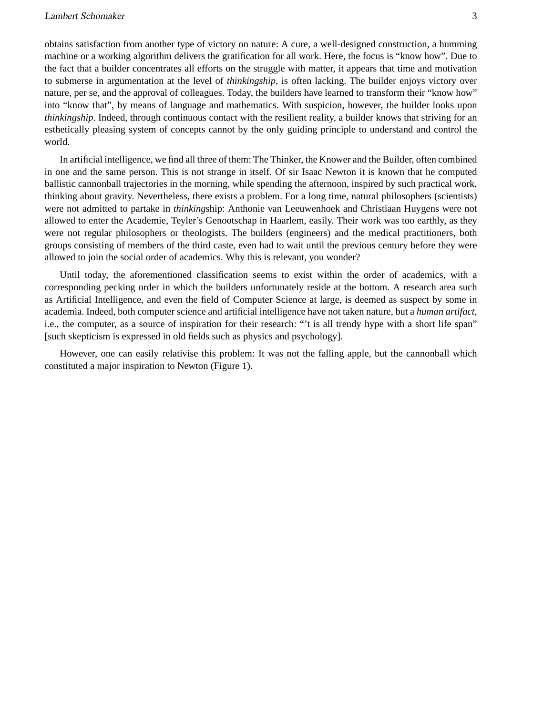obtains satisfaction from another type of victory on nature: A cure, a well-designed construction, a humming machine or a working algorithm delivers the gratification for all work. Here, the focus is "know how". Due to the fact that a builder concentrates all efforts on the struggle with matter, it appears that time and motivation to submerse in argumentation at the level of *thinkingship*, is often lacking. The builder enjoys victory over nature, per se, and the approval of colleagues. Today, the builders have learned to transform their "know how" into "know that", by means of language and mathematics. With suspicion, however, the builder looks upon *thinkingship*. Indeed, through continuous contact with the resilient reality, a builder knows that striving for an esthetically pleasing system of concepts cannot by the only guiding principle to understand and control the world.

In artificial intelligence, we find all three of them: The Thinker, the Knower and the Builder, often combined in one and the same person. This is not strange in itself. Of sir Isaac Newton it is known that he computed ballistic cannonball trajectories in the morning, while spending the afternoon, inspired by such practical work, thinking about gravity. Nevertheless, there exists a problem. For a long time, natural philosophers (scientists) were not admitted to partake in *thinking*ship: Anthonie van Leeuwenhoek and Christiaan Huygens were not allowed to enter the Academie, Teyler's Genootschap in Haarlem, easily. Their work was too earthly, as they were not regular philosophers or theologists. The builders (engineers) and the medical practitioners, both groups consisting of members of the third caste, even had to wait until the previous century before they were allowed to join the social order of academics. Why this is relevant, you wonder?

Until today, the aforementioned classification seems to exist within the order of academics, with a corresponding pecking order in which the builders unfortunately reside at the bottom. A research area such as Artificial Intelligence, and even the field of Computer Science at large, is deemed as suspect by some in academia. Indeed, both computer science and artificial intelligence have not taken nature, but a *human artifact*, i.e., the computer, as a source of inspiration for their research: "'t is all trendy hype with a short life span" [such skepticism is expressed in old fields such as physics and psychology].

However, one can easily relativise this problem: It was not the falling apple, but the cannonball which constituted a major inspiration to Newton (Figure 1).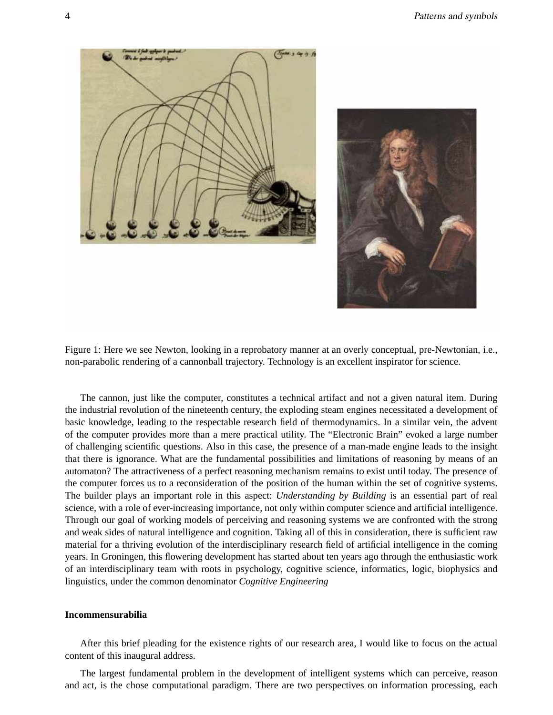



Figure 1: Here we see Newton, looking in a reprobatory manner at an overly conceptual, pre-Newtonian, i.e., non-parabolic rendering of a cannonball trajectory. Technology is an excellent inspirator for science.

The cannon, just like the computer, constitutes a technical artifact and not a given natural item. During the industrial revolution of the nineteenth century, the exploding steam engines necessitated a development of basic knowledge, leading to the respectable research field of thermodynamics. In a similar vein, the advent of the computer provides more than a mere practical utility. The "Electronic Brain" evoked a large number of challenging scientific questions. Also in this case, the presence of a man-made engine leads to the insight that there is ignorance. What are the fundamental possibilities and limitations of reasoning by means of an automaton? The attractiveness of a perfect reasoning mechanism remains to exist until today. The presence of the computer forces us to a reconsideration of the position of the human within the set of cognitive systems. The builder plays an important role in this aspect: *Understanding by Building* is an essential part of real science, with a role of ever-increasing importance, not only within computer science and artificial intelligence. Through our goal of working models of perceiving and reasoning systems we are confronted with the strong and weak sides of natural intelligence and cognition. Taking all of this in consideration, there is sufficient raw material for a thriving evolution of the interdisciplinary research field of artificial intelligence in the coming years. In Groningen, this flowering development has started about ten years ago through the enthusiastic work of an interdisciplinary team with roots in psychology, cognitive science, informatics, logic, biophysics and linguistics, under the common denominator *Cognitive Engineering*

#### **Incommensurabilia**

After this brief pleading for the existence rights of our research area, I would like to focus on the actual content of this inaugural address.

The largest fundamental problem in the development of intelligent systems which can perceive, reason and act, is the chose computational paradigm. There are two perspectives on information processing, each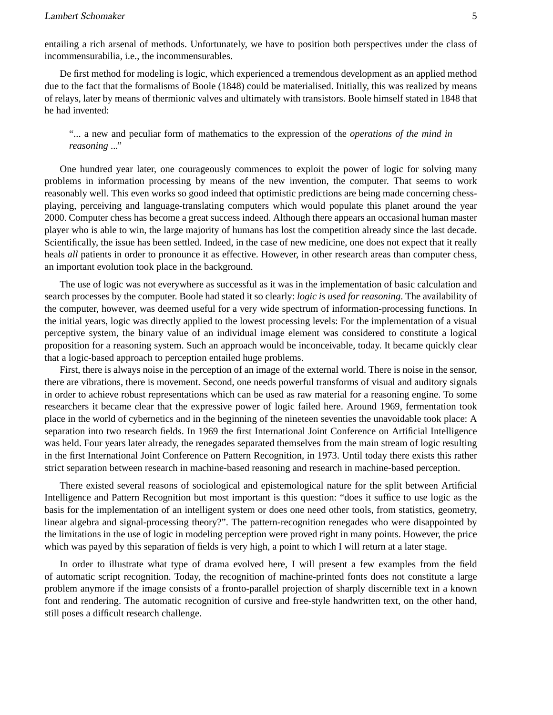De first method for modeling is logic, which experienced a tremendous development as an applied method due to the fact that the formalisms of Boole (1848) could be materialised. Initially, this was realized by means of relays, later by means of thermionic valves and ultimately with transistors. Boole himself stated in 1848 that he had invented:

"... a new and peculiar form of mathematics to the expression of the *operations of the mind in reasoning* ..."

One hundred year later, one courageously commences to exploit the power of logic for solving many problems in information processing by means of the new invention, the computer. That seems to work reasonably well. This even works so good indeed that optimistic predictions are being made concerning chessplaying, perceiving and language-translating computers which would populate this planet around the year 2000. Computer chess has become a great success indeed. Although there appears an occasional human master player who is able to win, the large majority of humans has lost the competition already since the last decade. Scientifically, the issue has been settled. Indeed, in the case of new medicine, one does not expect that it really heals *all* patients in order to pronounce it as effective. However, in other research areas than computer chess, an important evolution took place in the background.

The use of logic was not everywhere as successful as it was in the implementation of basic calculation and search processes by the computer. Boole had stated it so clearly: *logic is used for reasoning*. The availability of the computer, however, was deemed useful for a very wide spectrum of information-processing functions. In the initial years, logic was directly applied to the lowest processing levels: For the implementation of a visual perceptive system, the binary value of an individual image element was considered to constitute a logical proposition for a reasoning system. Such an approach would be inconceivable, today. It became quickly clear that a logic-based approach to perception entailed huge problems.

First, there is always noise in the perception of an image of the external world. There is noise in the sensor, there are vibrations, there is movement. Second, one needs powerful transforms of visual and auditory signals in order to achieve robust representations which can be used as raw material for a reasoning engine. To some researchers it became clear that the expressive power of logic failed here. Around 1969, fermentation took place in the world of cybernetics and in the beginning of the nineteen seventies the unavoidable took place: A separation into two research fields. In 1969 the first International Joint Conference on Artificial Intelligence was held. Four years later already, the renegades separated themselves from the main stream of logic resulting in the first International Joint Conference on Pattern Recognition, in 1973. Until today there exists this rather strict separation between research in machine-based reasoning and research in machine-based perception.

There existed several reasons of sociological and epistemological nature for the split between Artificial Intelligence and Pattern Recognition but most important is this question: "does it suffice to use logic as the basis for the implementation of an intelligent system or does one need other tools, from statistics, geometry, linear algebra and signal-processing theory?". The pattern-recognition renegades who were disappointed by the limitations in the use of logic in modeling perception were proved right in many points. However, the price which was payed by this separation of fields is very high, a point to which I will return at a later stage.

In order to illustrate what type of drama evolved here, I will present a few examples from the field of automatic script recognition. Today, the recognition of machine-printed fonts does not constitute a large problem anymore if the image consists of a fronto-parallel projection of sharply discernible text in a known font and rendering. The automatic recognition of cursive and free-style handwritten text, on the other hand, still poses a difficult research challenge.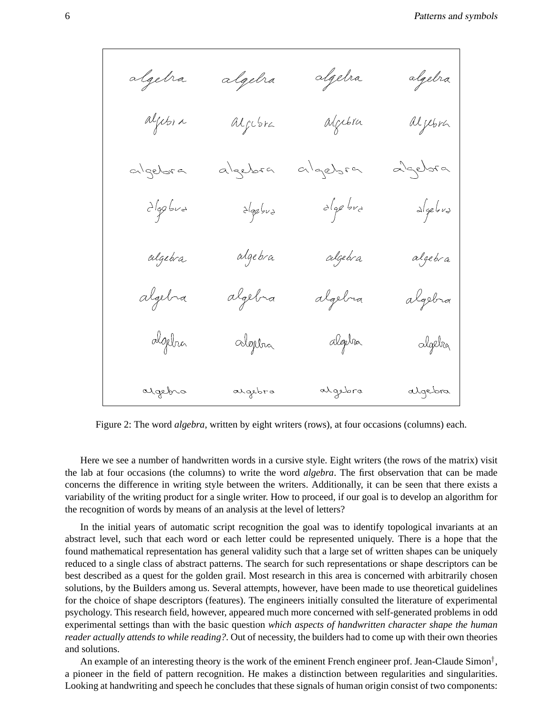Figure 2: The word *algebra*, written by eight writers (rows), at four occasions (columns) each.

Here we see a number of handwritten words in a cursive style. Eight writers (the rows of the matrix) visit the lab at four occasions (the columns) to write the word *algebra*. The first observation that can be made concerns the difference in writing style between the writers. Additionally, it can be seen that there exists a variability of the writing product for a single writer. How to proceed, if our goal is to develop an algorithm for the recognition of words by means of an analysis at the level of letters?

In the initial years of automatic script recognition the goal was to identify topological invariants at an abstract level, such that each word or each letter could be represented uniquely. There is a hope that the found mathematical representation has general validity such that a large set of written shapes can be uniquely reduced to a single class of abstract patterns. The search for such representations or shape descriptors can be best described as a quest for the golden grail. Most research in this area is concerned with arbitrarily chosen solutions, by the Builders among us. Several attempts, however, have been made to use theoretical guidelines for the choice of shape descriptors (features). The engineers initially consulted the literature of experimental psychology. This research field, however, appeared much more concerned with self-generated problems in odd experimental settings than with the basic question *which aspects of handwritten character shape the human reader actually attends to while reading?*. Out of necessity, the builders had to come up with their own theories and solutions.

An example of an interesting theory is the work of the eminent French engineer prof. Jean-Claude Simon<sup>†</sup>, a pioneer in the field of pattern recognition. He makes a distinction between regularities and singularities. Looking at handwriting and speech he concludes that these signals of human origin consist of two components: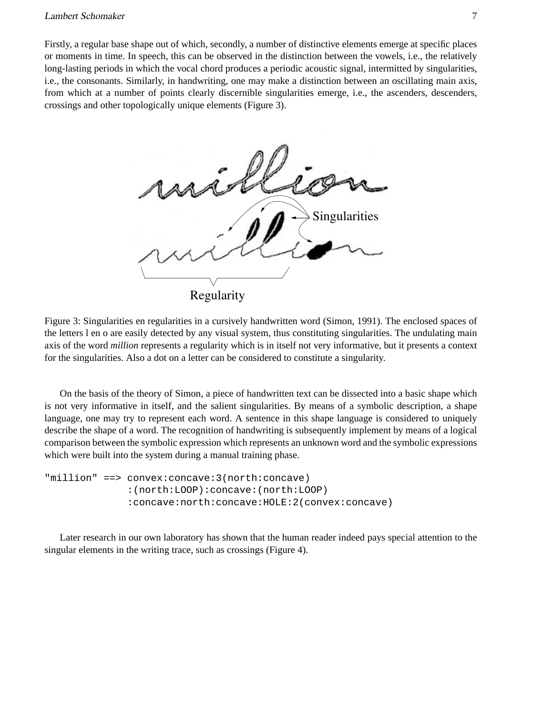### Lambert Schomaker 7

Firstly, a regular base shape out of which, secondly, a number of distinctive elements emerge at specific places or moments in time. In speech, this can be observed in the distinction between the vowels, i.e., the relatively long-lasting periods in which the vocal chord produces a periodic acoustic signal, intermitted by singularities, i.e., the consonants. Similarly, in handwriting, one may make a distinction between an oscillating main axis, from which at a number of points clearly discernible singularities emerge, i.e., the ascenders, descenders, crossings and other topologically unique elements (Figure 3).



Figure 3: Singularities en regularities in a cursively handwritten word (Simon, 1991). The enclosed spaces of the letters l en o are easily detected by any visual system, thus constituting singularities. The undulating main axis of the word *million* represents a regularity which is in itself not very informative, but it presents a context for the singularities. Also a dot on a letter can be considered to constitute a singularity.

On the basis of the theory of Simon, a piece of handwritten text can be dissected into a basic shape which is not very informative in itself, and the salient singularities. By means of a symbolic description, a shape language, one may try to represent each word. A sentence in this shape language is considered to uniquely describe the shape of a word. The recognition of handwriting is subsequently implement by means of a logical comparison between the symbolic expression which represents an unknown word and the symbolic expressions which were built into the system during a manual training phase.

```
"million" ==> convex:concave:3(north:concave)
  :(north:LOOP):concave:(north:LOOP)
  :concave:north:concave:HOLE:2(convex:concave)
```
Later research in our own laboratory has shown that the human reader indeed pays special attention to the singular elements in the writing trace, such as crossings (Figure 4).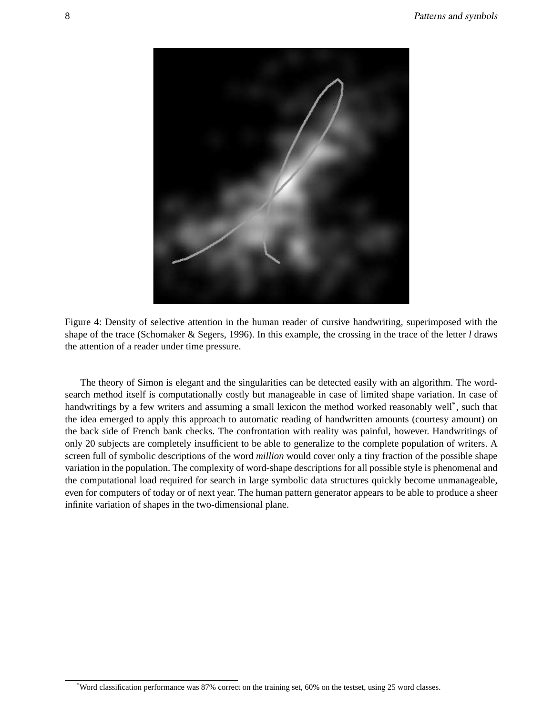

Figure 4: Density of selective attention in the human reader of cursive handwriting, superimposed with the shape of the trace (Schomaker & Segers, 1996). In this example, the crossing in the trace of the letter *l* draws the attention of a reader under time pressure.

The theory of Simon is elegant and the singularities can be detected easily with an algorithm. The wordsearch method itself is computationally costly but manageable in case of limited shape variation. In case of handwritings by a few writers and assuming a small lexicon the method worked reasonably well\*, such that the idea emerged to apply this approach to automatic reading of handwritten amounts (courtesy amount) on the back side of French bank checks. The confrontation with reality was painful, however. Handwritings of only 20 subjects are completely insufficient to be able to generalize to the complete population of writers. A screen full of symbolic descriptions of the word *million* would cover only a tiny fraction of the possible shape variation in the population. The complexity of word-shape descriptions for all possible style is phenomenal and the computational load required for search in large symbolic data structures quickly become unmanageable, even for computers of today or of next year. The human pattern generator appears to be able to produce a sheer infinite variation of shapes in the two-dimensional plane.

<sup>\*</sup>Word classification performance was 87% correct on the training set, 60% on the testset, using 25 word classes.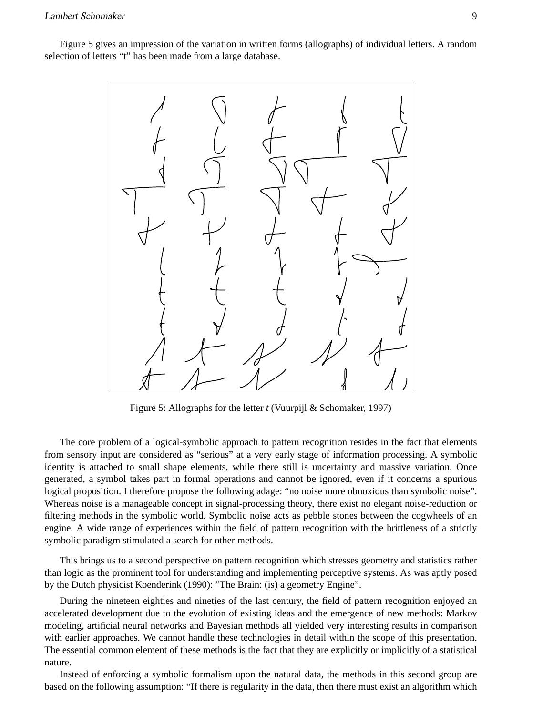Figure 5 gives an impression of the variation in written forms (allographs) of individual letters. A random selection of letters "t" has been made from a large database.



Figure 5: Allographs for the letter *t* (Vuurpijl & Schomaker, 1997)

The core problem of a logical-symbolic approach to pattern recognition resides in the fact that elements from sensory input are considered as "serious" at a very early stage of information processing. A symbolic identity is attached to small shape elements, while there still is uncertainty and massive variation. Once generated, a symbol takes part in formal operations and cannot be ignored, even if it concerns a spurious logical proposition. I therefore propose the following adage: "no noise more obnoxious than symbolic noise". Whereas noise is a manageable concept in signal-processing theory, there exist no elegant noise-reduction or filtering methods in the symbolic world. Symbolic noise acts as pebble stones between the cogwheels of an engine. A wide range of experiences within the field of pattern recognition with the brittleness of a strictly symbolic paradigm stimulated a search for other methods.

This brings us to a second perspective on pattern recognition which stresses geometry and statistics rather than logic as the prominent tool for understanding and implementing perceptive systems. As was aptly posed by the Dutch physicist Koenderink (1990): "The Brain: (is) a geometry Engine".

During the nineteen eighties and nineties of the last century, the field of pattern recognition enjoyed an accelerated development due to the evolution of existing ideas and the emergence of new methods: Markov modeling, artificial neural networks and Bayesian methods all yielded very interesting results in comparison with earlier approaches. We cannot handle these technologies in detail within the scope of this presentation. The essential common element of these methods is the fact that they are explicitly or implicitly of a statistical nature.

Instead of enforcing a symbolic formalism upon the natural data, the methods in this second group are based on the following assumption: "If there is regularity in the data, then there must exist an algorithm which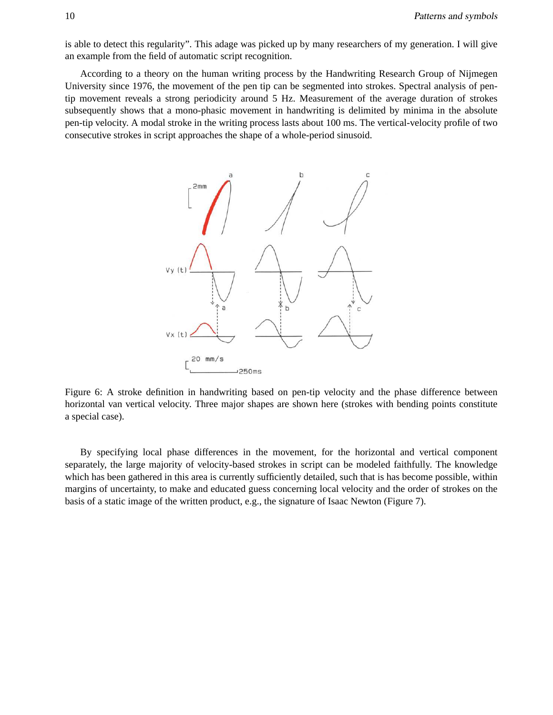is able to detect this regularity". This adage was picked up by many researchers of my generation. I will give an example from the field of automatic script recognition.

According to a theory on the human writing process by the Handwriting Research Group of Nijmegen University since 1976, the movement of the pen tip can be segmented into strokes. Spectral analysis of pentip movement reveals a strong periodicity around 5 Hz. Measurement of the average duration of strokes subsequently shows that a mono-phasic movement in handwriting is delimited by minima in the absolute pen-tip velocity. A modal stroke in the writing process lasts about 100 ms. The vertical-velocity profile of two consecutive strokes in script approaches the shape of a whole-period sinusoid.



Figure 6: A stroke definition in handwriting based on pen-tip velocity and the phase difference between horizontal van vertical velocity. Three major shapes are shown here (strokes with bending points constitute a special case).

By specifying local phase differences in the movement, for the horizontal and vertical component separately, the large majority of velocity-based strokes in script can be modeled faithfully. The knowledge which has been gathered in this area is currently sufficiently detailed, such that is has become possible, within margins of uncertainty, to make and educated guess concerning local velocity and the order of strokes on the basis of a static image of the written product, e.g., the signature of Isaac Newton (Figure 7).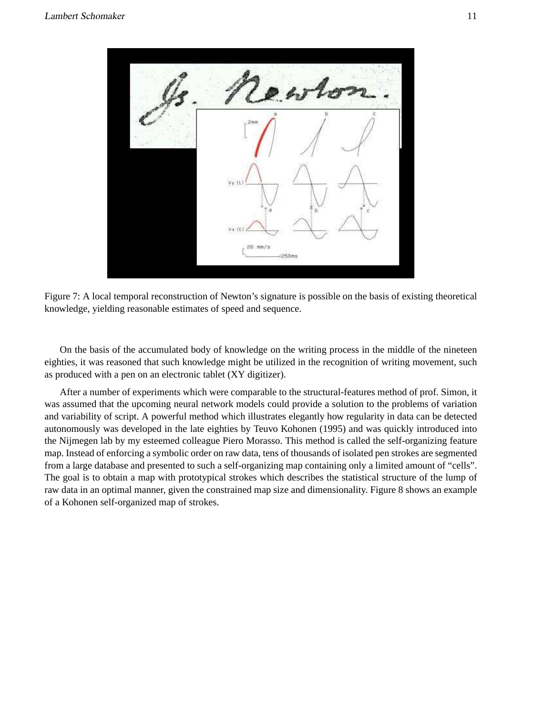

Figure 7: A local temporal reconstruction of Newton's signature is possible on the basis of existing theoretical knowledge, yielding reasonable estimates of speed and sequence.

On the basis of the accumulated body of knowledge on the writing process in the middle of the nineteen eighties, it was reasoned that such knowledge might be utilized in the recognition of writing movement, such as produced with a pen on an electronic tablet (XY digitizer).

After a number of experiments which were comparable to the structural-features method of prof. Simon, it was assumed that the upcoming neural network models could provide a solution to the problems of variation and variability of script. A powerful method which illustrates elegantly how regularity in data can be detected autonomously was developed in the late eighties by Teuvo Kohonen (1995) and was quickly introduced into the Nijmegen lab by my esteemed colleague Piero Morasso. This method is called the self-organizing feature map. Instead of enforcing a symbolic order on raw data, tens of thousands of isolated pen strokes are segmented from a large database and presented to such a self-organizing map containing only a limited amount of "cells". The goal is to obtain a map with prototypical strokes which describes the statistical structure of the lump of raw data in an optimal manner, given the constrained map size and dimensionality. Figure 8 shows an example of a Kohonen self-organized map of strokes.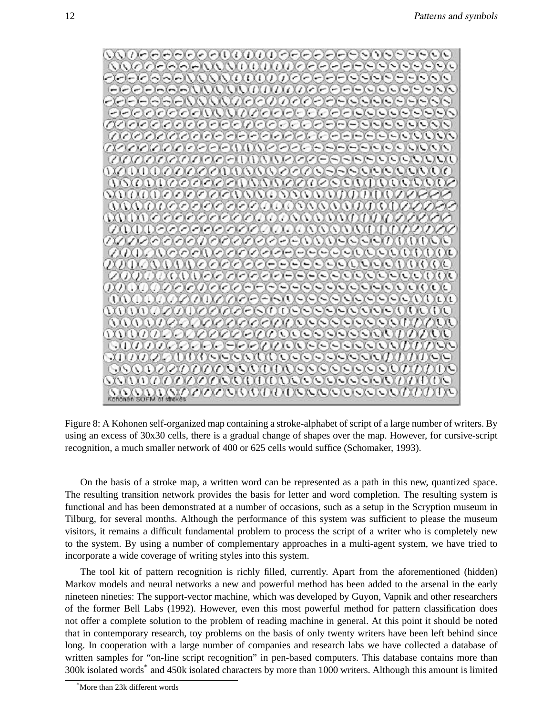

Figure 8: A Kohonen self-organized map containing a stroke-alphabet of script of a large number of writers. By using an excess of 30x30 cells, there is a gradual change of shapes over the map. However, for cursive-script recognition, a much smaller network of 400 or 625 cells would suffice (Schomaker, 1993).

On the basis of a stroke map, a written word can be represented as a path in this new, quantized space. The resulting transition network provides the basis for letter and word completion. The resulting system is functional and has been demonstrated at a number of occasions, such as a setup in the Scryption museum in Tilburg, for several months. Although the performance of this system was sufficient to please the museum visitors, it remains a difficult fundamental problem to process the script of a writer who is completely new to the system. By using a number of complementary approaches in a multi-agent system, we have tried to incorporate a wide coverage of writing styles into this system.

The tool kit of pattern recognition is richly filled, currently. Apart from the aforementioned (hidden) Markov models and neural networks a new and powerful method has been added to the arsenal in the early nineteen nineties: The support-vector machine, which was developed by Guyon, Vapnik and other researchers of the former Bell Labs (1992). However, even this most powerful method for pattern classification does not offer a complete solution to the problem of reading machine in general. At this point it should be noted that in contemporary research, toy problems on the basis of only twenty writers have been left behind since long. In cooperation with a large number of companies and research labs we have collected a database of written samples for "on-line script recognition" in pen-based computers. This database contains more than 300k isolated words\* and 450k isolated characters by more than 1000 writers. Although this amount is limited

<sup>\*</sup>More than 23k different words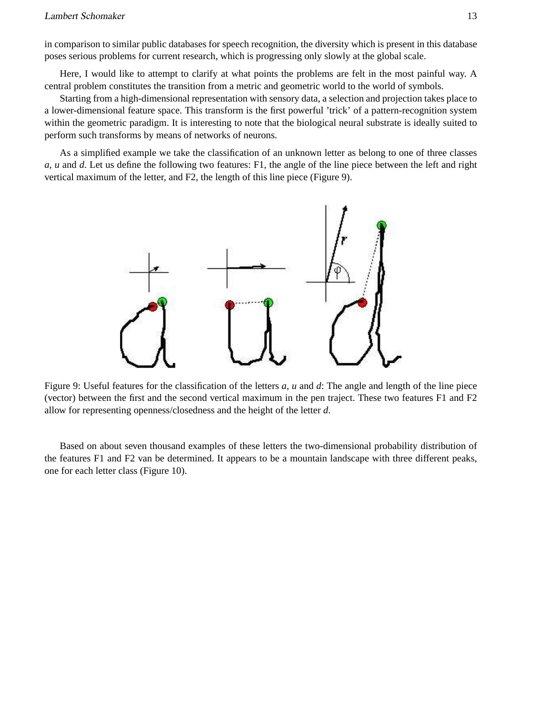in comparison to similar public databases for speech recognition, the diversity which is present in this database poses serious problems for current research, which is progressing only slowly at the global scale.

Here, I would like to attempt to clarify at what points the problems are felt in the most painful way. A central problem constitutes the transition from a metric and geometric world to the world of symbols.

Starting from a high-dimensional representation with sensory data, a selection and projection takes place to a lower-dimensional feature space. This transform is the first powerful 'trick' of a pattern-recognition system within the geometric paradigm. It is interesting to note that the biological neural substrate is ideally suited to perform such transforms by means of networks of neurons.

As a simplified example we take the classification of an unknown letter as belong to one of three classes *a, u* and *d*. Let us define the following two features: F1, the angle of the line piece between the left and right vertical maximum of the letter, and F2, the length of this line piece (Figure 9).



Figure 9: Useful features for the classification of the letters *a*, *u* and *d*: The angle and length of the line piece (vector) between the first and the second vertical maximum in the pen traject. These two features F1 and F2 allow for representing openness/closedness and the height of the letter *d*.

Based on about seven thousand examples of these letters the two-dimensional probability distribution of the features F1 and F2 van be determined. It appears to be a mountain landscape with three different peaks, one for each letter class (Figure 10).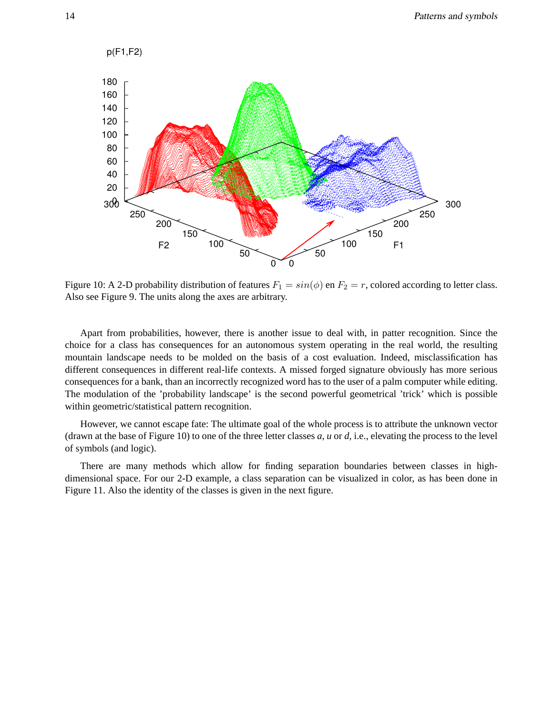

Figure 10: A 2-D probability distribution of features  $F_1 = \sin(\phi)$  en  $F_2 = r$ , colored according to letter class. Also see Figure 9. The units along the axes are arbitrary.

Apart from probabilities, however, there is another issue to deal with, in patter recognition. Since the choice for a class has consequences for an autonomous system operating in the real world, the resulting mountain landscape needs to be molded on the basis of a cost evaluation. Indeed, misclassification has different consequences in different real-life contexts. A missed forged signature obviously has more serious consequences for a bank, than an incorrectly recognized word has to the user of a palm computer while editing. The modulation of the 'probability landscape' is the second powerful geometrical 'trick' which is possible within geometric/statistical pattern recognition.

However, we cannot escape fate: The ultimate goal of the whole process is to attribute the unknown vector (drawn at the base of Figure 10) to one of the three letter classes *a, u* or *d*, i.e., elevating the process to the level of symbols (and logic).

There are many methods which allow for finding separation boundaries between classes in highdimensional space. For our 2-D example, a class separation can be visualized in color, as has been done in Figure 11. Also the identity of the classes is given in the next figure.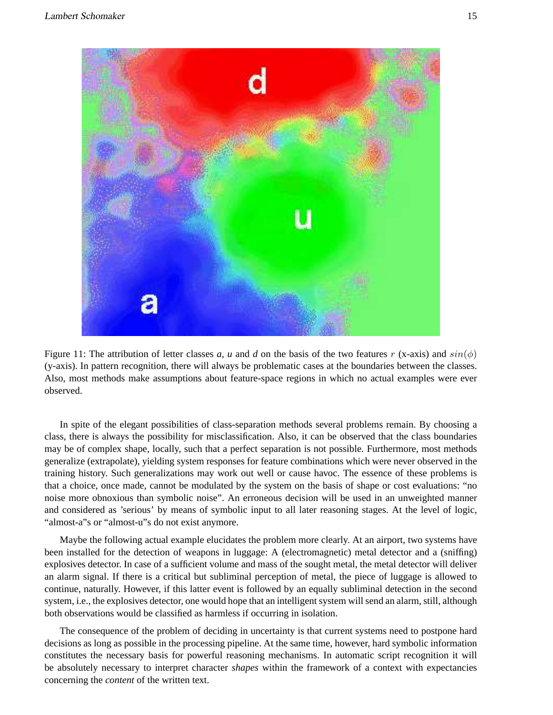

Figure 11: The attribution of letter classes a, u and d on the basis of the two features r (x-axis) and  $sin(\phi)$ (y-axis). In pattern recognition, there will always be problematic cases at the boundaries between the classes. Also, most methods make assumptions about feature-space regions in which no actual examples were ever observed.

In spite of the elegant possibilities of class-separation methods several problems remain. By choosing a class, there is always the possibility for misclassification. Also, it can be observed that the class boundaries may be of complex shape, locally, such that a perfect separation is not possible. Furthermore, most methods generalize (extrapolate), yielding system responses for feature combinations which were never observed in the training history. Such generalizations may work out well or cause havoc. The essence of these problems is that a choice, once made, cannot be modulated by the system on the basis of shape or cost evaluations: "no noise more obnoxious than symbolic noise". An erroneous decision will be used in an unweighted manner and considered as 'serious' by means of symbolic input to all later reasoning stages. At the level of logic, "almost-a"s or "almost-u"s do not exist anymore.

Maybe the following actual example elucidates the problem more clearly. At an airport, two systems have been installed for the detection of weapons in luggage: A (electromagnetic) metal detector and a (sniffing) explosives detector. In case of a sufficient volume and mass of the sought metal, the metal detector will deliver an alarm signal. If there is a critical but subliminal perception of metal, the piece of luggage is allowed to continue, naturally. However, if this latter event is followed by an equally subliminal detection in the second system, i.e., the explosives detector, one would hope that an intelligent system will send an alarm, still, although both observations would be classified as harmless if occurring in isolation.

The consequence of the problem of deciding in uncertainty is that current systems need to postpone hard decisions as long as possible in the processing pipeline. At the same time, however, hard symbolic information constitutes the necessary basis for powerful reasoning mechanisms. In automatic script recognition it will be absolutely necessary to interpret character *shapes* within the framework of a context with expectancies concerning the *content* of the written text.